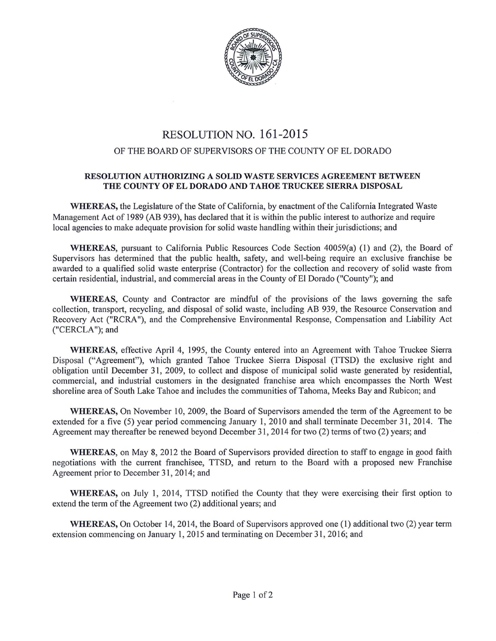

## RESOLUTION NO. 161-2015

## OF THE BOARD OF SUPERVISORS OF THE COUNTY OF EL DORADO

## RESOLUTION AUTHORIZING A SOLID WASTE SERVICES AGREEMENT BETWEEN THE COUNTY OF ELDORADO AND TAHOE TRUCKEE SIERRA DISPOSAL

WHEREAS, the Legislature of the State of California, by enactment of the California Integrated Waste Management Act of 1989 (AB 939), has declared that it is within the public interest to authorize and require local agencies to make adequate provision for solid waste handling within their jurisdictions; and

WHEREAS, pursuant to California Public Resources Code Section 40059(a) (I) and (2), the Board of Supervisors has determined that the public health, safety, and well-being require an exclusive franchise be awarded to a qualified solid waste enterprise (Contractor) for the collection and recovery of solid waste from certain residential, industrial, and commercial areas in the County of El Dorado ("County"); and

WHEREAS, County and Contractor are mindful of the provisions of the laws governing the safe collection, transport, recycling, and disposal of solid waste, including AB 939, the Resource Conservation and Recovery Act ("RCRA"), and the Comprehensive Environmental Response, Compensation and Liability Act ("CERCLA"); and

WHEREAS, effective April 4, 1995, the County entered into an Agreement with Tahoe Truckee Sierra Disposal ("Agreement"), which granted Tahoe Truckee Sierra Disposal (TTSD) the exclusive right and obligation until December 31 , 2009, to collect and dispose of municipal solid waste generated by residential, commercial, and industrial customers in the designated franchise area which encompasses the North West shoreline area of South Lake Tahoe and includes the communities of Tahoma, Meeks Bay and Rubicon; and

WHEREAS, On November 10, 2009, the Board of Supervisors amended the term of the Agreement to be extended for a five (5) year period commencing January 1, 2010 and shall terminate December 31, 2014. The Agreement may thereafter be renewed beyond December 31, 2014 for two (2) terms of two (2) years; and

WHEREAS, on May 8, 2012 the Board of Supervisors provided direction to staff to engage in good faith negotiations with the current franchisee, TTSD, and return to the Board with a proposed new Franchise Agreement prior to December 31, 2014; and

WHEREAS, on July 1, 2014, TTSD notified the County that they were exercising their first option to extend the term of the Agreement two (2) additional years; and

WHEREAS, On October 14, 2014, the Board of Supervisors approved one (1) additional two (2) year term extension commencing on January 1, 2015 and terminating on December 31, 2016; and